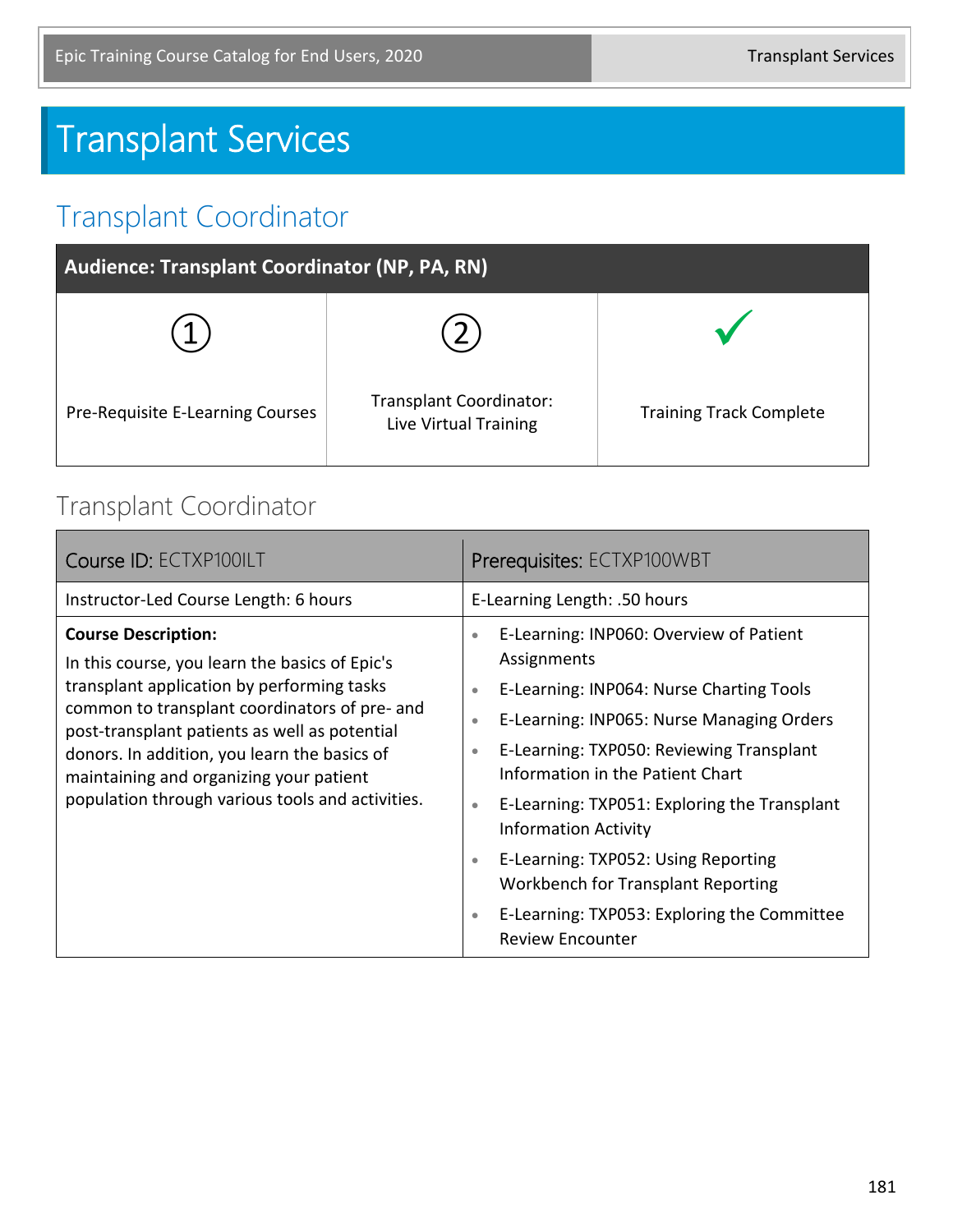# Transplant Services

### Transplant Coordinator

| <b>Audience: Transplant Coordinator (NP, PA, RN)</b> |                                                         |                                |  |
|------------------------------------------------------|---------------------------------------------------------|--------------------------------|--|
|                                                      |                                                         |                                |  |
| Pre-Requisite E-Learning Courses                     | <b>Transplant Coordinator:</b><br>Live Virtual Training | <b>Training Track Complete</b> |  |

#### Transplant Coordinator

| Course ID: ECTXP100ILT                                                                                                                                                                                                                                                                                                                                                      | Prerequisites: ECTXP100WBT                                                                                                                                                                                                                                                                                                                                                                                                                                                                                                                                       |
|-----------------------------------------------------------------------------------------------------------------------------------------------------------------------------------------------------------------------------------------------------------------------------------------------------------------------------------------------------------------------------|------------------------------------------------------------------------------------------------------------------------------------------------------------------------------------------------------------------------------------------------------------------------------------------------------------------------------------------------------------------------------------------------------------------------------------------------------------------------------------------------------------------------------------------------------------------|
| Instructor-Led Course Length: 6 hours                                                                                                                                                                                                                                                                                                                                       | E-Learning Length: .50 hours                                                                                                                                                                                                                                                                                                                                                                                                                                                                                                                                     |
| <b>Course Description:</b><br>In this course, you learn the basics of Epic's<br>transplant application by performing tasks<br>common to transplant coordinators of pre- and<br>post-transplant patients as well as potential<br>donors. In addition, you learn the basics of<br>maintaining and organizing your patient<br>population through various tools and activities. | E-Learning: INP060: Overview of Patient<br>$\bullet$<br>Assignments<br>E-Learning: INP064: Nurse Charting Tools<br>$\bullet$<br>E-Learning: INP065: Nurse Managing Orders<br>$\bullet$<br>E-Learning: TXP050: Reviewing Transplant<br>$\bullet$<br>Information in the Patient Chart<br>E-Learning: TXP051: Exploring the Transplant<br>$\bullet$<br><b>Information Activity</b><br>E-Learning: TXP052: Using Reporting<br>$\bullet$<br>Workbench for Transplant Reporting<br>E-Learning: TXP053: Exploring the Committee<br>$\bullet$<br><b>Review Encounter</b> |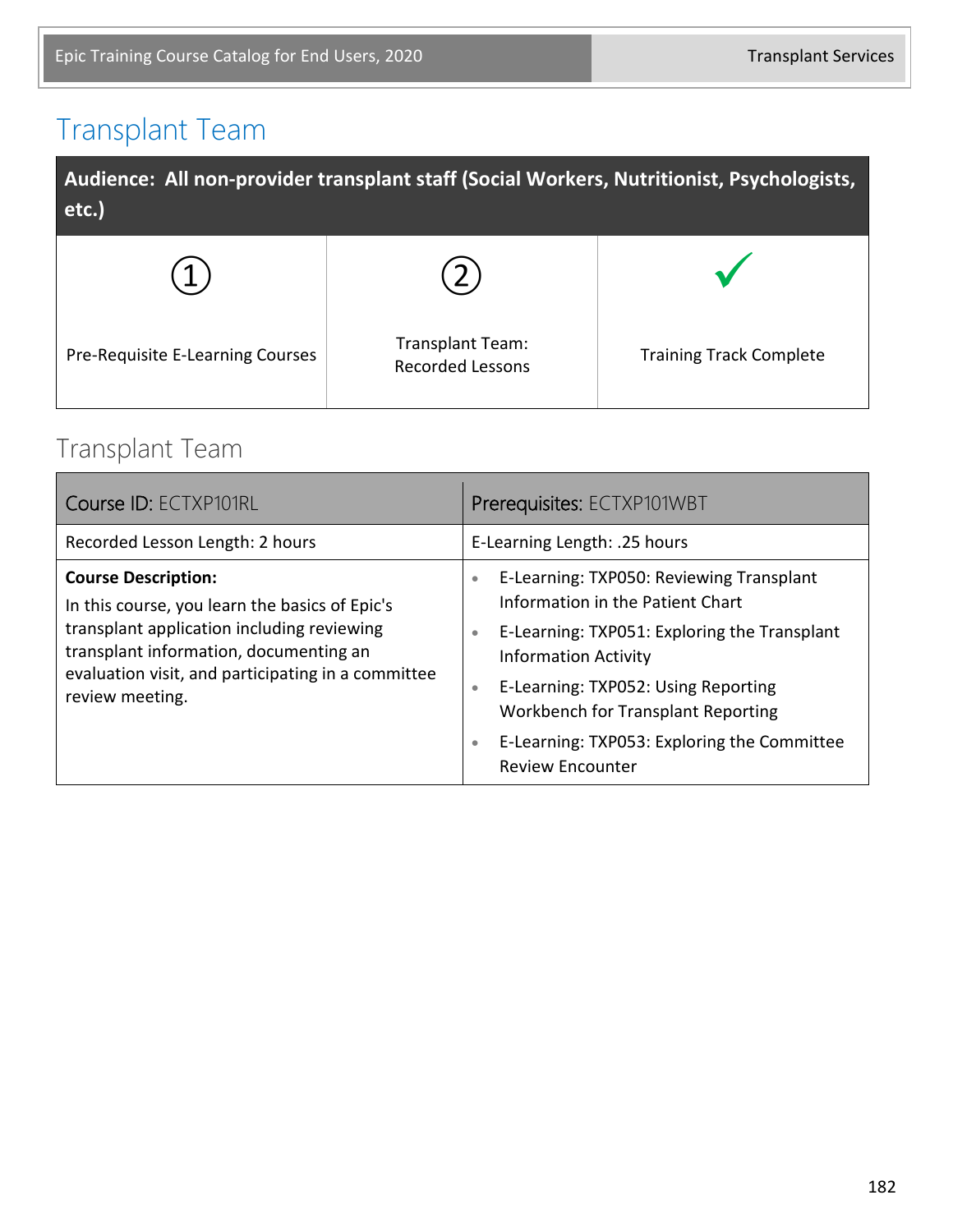## Transplant Team

| Audience: All non-provider transplant staff (Social Workers, Nutritionist, Psychologists,<br>etc.) |                                             |                                |
|----------------------------------------------------------------------------------------------------|---------------------------------------------|--------------------------------|
|                                                                                                    |                                             |                                |
| Pre-Requisite E-Learning Courses                                                                   | Transplant Team:<br><b>Recorded Lessons</b> | <b>Training Track Complete</b> |

#### Transplant Team

| Course ID: ECTXP101RL                                                                                                                                                                                                                         | Prerequisites: ECTXP101WBT                                                                                                                                                                                                                                                                                                                                             |  |
|-----------------------------------------------------------------------------------------------------------------------------------------------------------------------------------------------------------------------------------------------|------------------------------------------------------------------------------------------------------------------------------------------------------------------------------------------------------------------------------------------------------------------------------------------------------------------------------------------------------------------------|--|
| Recorded Lesson Length: 2 hours                                                                                                                                                                                                               | E-Learning Length: .25 hours                                                                                                                                                                                                                                                                                                                                           |  |
| <b>Course Description:</b><br>In this course, you learn the basics of Epic's<br>transplant application including reviewing<br>transplant information, documenting an<br>evaluation visit, and participating in a committee<br>review meeting. | E-Learning: TXP050: Reviewing Transplant<br>$\bullet$<br>Information in the Patient Chart<br>E-Learning: TXP051: Exploring the Transplant<br>$\bullet$<br><b>Information Activity</b><br>E-Learning: TXP052: Using Reporting<br>$\bullet$<br>Workbench for Transplant Reporting<br>E-Learning: TXP053: Exploring the Committee<br>$\bullet$<br><b>Review Encounter</b> |  |